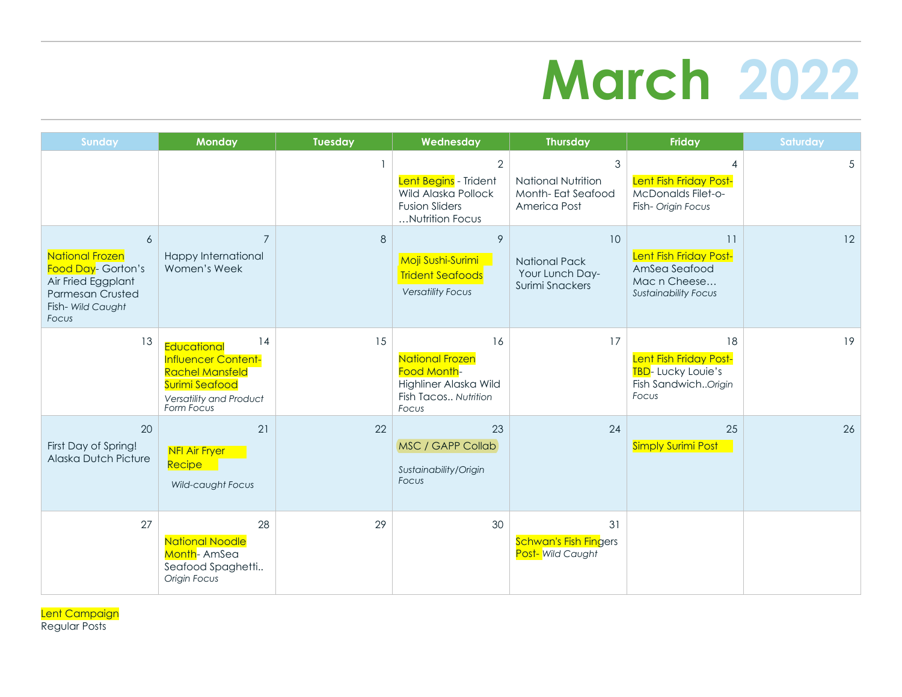## **March 2022**

| <b>Sunday</b>                                                                                                                    | <b>Monday</b>                                                                                                                        | <b>Tuesday</b> | Wednesday                                                                                                  | <b>Thursday</b>                                                  | Friday                                                                                       | Saturday |
|----------------------------------------------------------------------------------------------------------------------------------|--------------------------------------------------------------------------------------------------------------------------------------|----------------|------------------------------------------------------------------------------------------------------------|------------------------------------------------------------------|----------------------------------------------------------------------------------------------|----------|
|                                                                                                                                  |                                                                                                                                      |                | $\overline{2}$<br>Lent Begins - Trident<br>Wild Alaska Pollock<br><b>Fusion Sliders</b><br>Nutrition Focus | 3<br>National Nutrition<br>Month-Eat Seafood<br>America Post     | Lent Fish Friday Post-<br>McDonalds Filet-o-<br>Fish- Origin Focus                           | 5        |
| 6<br><b>National Frozen</b><br>Food Day- Gorton's<br>Air Fried Eggplant<br><b>Parmesan Crusted</b><br>Fish- Wild Caught<br>Focus | $\overline{7}$<br>Happy International<br>Women's Week                                                                                | 8              | 9<br>Moji Sushi-Surimi<br><b>Trident Seafoods</b><br><b>Versatility Focus</b>                              | 10<br><b>National Pack</b><br>Your Lunch Day-<br>Surimi Snackers | 11<br>Lent Fish Friday Post-<br>AmSea Seafood<br>Mac n Cheese<br><b>Sustainability Focus</b> | 12       |
| 13                                                                                                                               | 14<br><b>Educational</b><br>Influencer Content-<br><b>Rachel Mansfeld</b><br>Surimi Seafood<br>Versatility and Product<br>Form Focus | 15             | 16<br><b>National Frozen</b><br>Food Month-<br>Highliner Alaska Wild<br>Fish Tacos Nutrition<br>Focus      | 17                                                               | 18<br>Lent Fish Friday Post-<br>TBD-Lucky Louie's<br>Fish SandwichOrigin<br>Focus            | 19       |
| 20<br>First Day of Spring!<br><b>Alaska Dutch Picture</b>                                                                        | 21<br><b>NFI Air Fryer</b><br>Recipe<br>Wild-caught Focus                                                                            | 22             | 23<br>MSC / GAPP Collab<br>Sustainability/Origin<br>Focus                                                  | 24                                                               | 25<br><b>Simply Surimi Post</b>                                                              | 26       |
| 27                                                                                                                               | 28<br><b>National Noodle</b><br>Month-AmSea<br>Seafood Spaghetti<br>Origin Focus                                                     | 29             | 30                                                                                                         | 31<br>Schwan's Fish Fingers<br>Post- Wild Caught                 |                                                                                              |          |

Lent Campaign Regular Posts